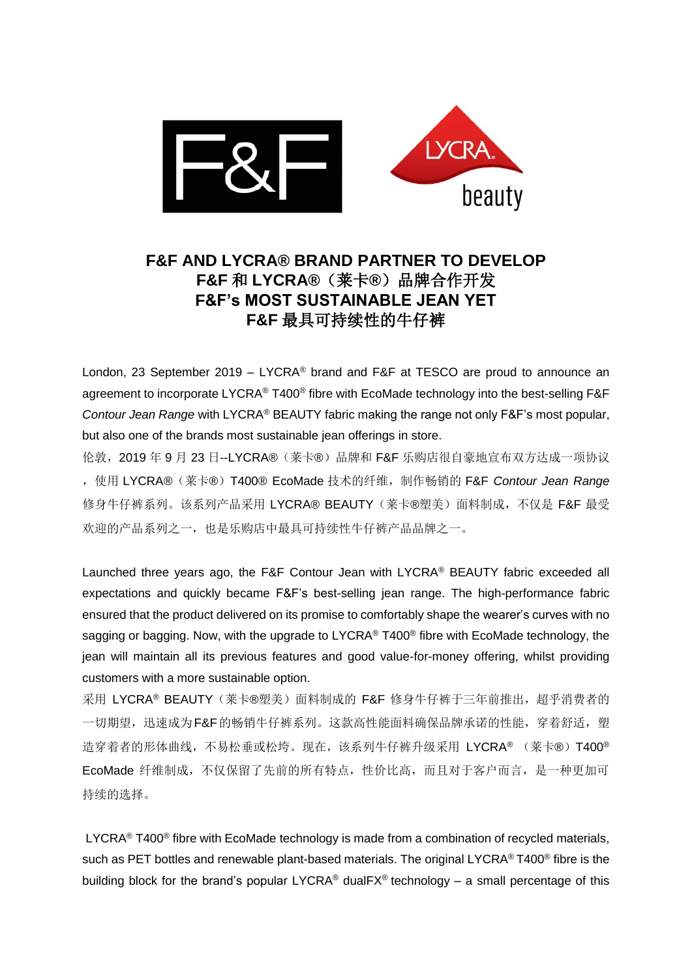

## **F&F AND LYCRA® BRAND PARTNER TO DEVELOP F&F** 和 **LYCRA®**(莱卡**®**)品牌合作开发 **F&F's MOST SUSTAINABLE JEAN YET F&F** 最具可持续性的牛仔裤

London, 23 September 2019 – LYCRA® brand and F&F at TESCO are proud to announce an agreement to incorporate LYCRA® T400® fibre with EcoMade technology into the best-selling F&F *Contour Jean Range* with LYCRA® BEAUTY fabric making the range not only F&F's most popular, but also one of the brands most sustainable jean offerings in store.

伦敦,2019 年 9 月 23 日--LYCRA®(莱卡®)品牌和 F&F 乐购店很自豪地宣布双方达成一项协议 ,使用 LYCRA®(莱卡®)T400® EcoMade 技术的纤维,制作畅销的 F&F *Contour Jean Range* 修身牛仔裤系列。该系列产品采用 LYCRA® BEAUTY(莱卡®塑美)面料制成,不仅是 F&F 最受 欢迎的产品系列之一,也是乐购店中最具可持续性牛仔裤产品品牌之一。

Launched three years ago, the F&F Contour Jean with LYCRA® BEAUTY fabric exceeded all expectations and quickly became F&F's best-selling jean range. The high-performance fabric ensured that the product delivered on its promise to comfortably shape the wearer's curves with no sagging or bagging. Now, with the upgrade to LYCRA<sup>®</sup> T400<sup>®</sup> fibre with EcoMade technology, the jean will maintain all its previous features and good value-for-money offering, whilst providing customers with a more sustainable option.

采用 LYCRA® BEAUTY (莱卡®塑美) 面料制成的 F&F 修身牛仔裤于三年前推出, 超乎消费者的 一切期望,迅速成为F&F的畅销牛仔裤系列。这款高性能面料确保品牌承诺的性能,穿着舒适,塑 造穿着者的形体曲线,不易松垂或松垮。现在,该系列牛仔裤升级采用 LYCRA® (莱卡®) T400® EcoMade 纤维制成,不仅保留了先前的所有特点,性价比高,而且对于客户而言,是一种更加可 持续的选择。

 $LYCRA^{\circledast}$  T400<sup>®</sup> fibre with EcoMade technology is made from a combination of recycled materials, such as PET bottles and renewable plant-based materials. The original LYCRA® T400<sup>®</sup> fibre is the building block for the brand's popular LYCRA<sup>®</sup> dualFX<sup>®</sup> technology – a small percentage of this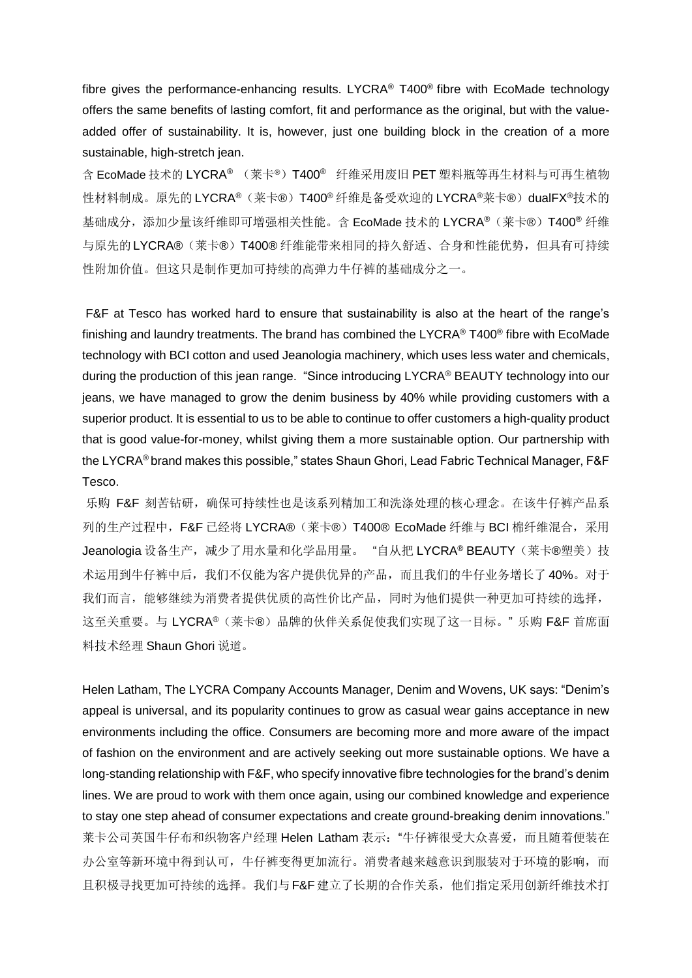fibre gives the performance-enhancing results. LYCRA® T400® fibre with EcoMade technology offers the same benefits of lasting comfort, fit and performance as the original, but with the valueadded offer of sustainability. It is, however, just one building block in the creation of a more sustainable, high-stretch jean.

含 EcoMade 技术的 LYCRA® (菜卡®) T400® 纤维采用废旧 PET 塑料瓶等再生材料与可再生植物 性材料制成。原先的 LYCRA®(莱卡®) T400® 纤维是备受欢迎的 LYCRA®莱卡®)dualFX®技术的 基础成分,添加少量该纤维即可增强相关性能。含 EcoMade 技术的 LYCRA® (莱卡®) T400® 纤维 与原先的LYCRA®(莱卡®)T400® 纤维能带来相同的持久舒适、合身和性能优势,但具有可持续 性附加价值。但这只是制作更加可持续的高弹力牛仔裤的基础成分之一。

F&F at Tesco has worked hard to ensure that sustainability is also at the heart of the range's finishing and laundry treatments. The brand has combined the LYCRA® T400® fibre with EcoMade technology with BCI cotton and used Jeanologia machinery, which uses less water and chemicals, during the production of this jean range. "Since introducing LYCRA® BEAUTY technology into our jeans, we have managed to grow the denim business by 40% while providing customers with a superior product. It is essential to us to be able to continue to offer customers a high-quality product that is good value-for-money, whilst giving them a more sustainable option. Our partnership with the LYCRA® brand makes this possible," states Shaun Ghori, Lead Fabric Technical Manager, F&F Tesco.

乐购 F&F 刻苦钻研,确保可持续性也是该系列精加工和洗涤处理的核心理念。在该牛仔裤产品系 列的生产过程中,F&F 已经将 LYCRA®(莱卡®)T400® EcoMade 纤维与 BCI 棉纤维混合,采用 Jeanologia 设备生产, 减少了用水量和化学品用量。"自从把 LYCRA® BEAUTY (莱卡®塑美)技 术运用到牛仔裤中后,我们不仅能为客户提供优异的产品,而且我们的牛仔业务增长了 40%。对于 我们而言,能够继续为消费者提供优质的高性价比产品,同时为他们提供一种更加可持续的选择, 这至关重要。与 LYCRA®(莱卡®)品牌的伙伴关系促使我们实现了这一目标。"乐购 F&F 首席面 料技术经理 Shaun Ghori 说道。

Helen Latham, The LYCRA Company Accounts Manager, Denim and Wovens, UK says: "Denim's appeal is universal, and its popularity continues to grow as casual wear gains acceptance in new environments including the office. Consumers are becoming more and more aware of the impact of fashion on the environment and are actively seeking out more sustainable options. We have a long-standing relationship with F&F, who specify innovative fibre technologies for the brand's denim lines. We are proud to work with them once again, using our combined knowledge and experience to stay one step ahead of consumer expectations and create ground-breaking denim innovations." 莱卡公司英国牛仔布和织物客户经理 Helen Latham 表示: "牛仔裤很受大众喜爱, 而且随着便装在 办公室等新环境中得到认可,牛仔裤变得更加流行。消费者越来越意识到服装对于环境的影响,而 且积极寻找更加可持续的选择。我们与F&F建立了长期的合作关系,他们指定采用创新纤维技术打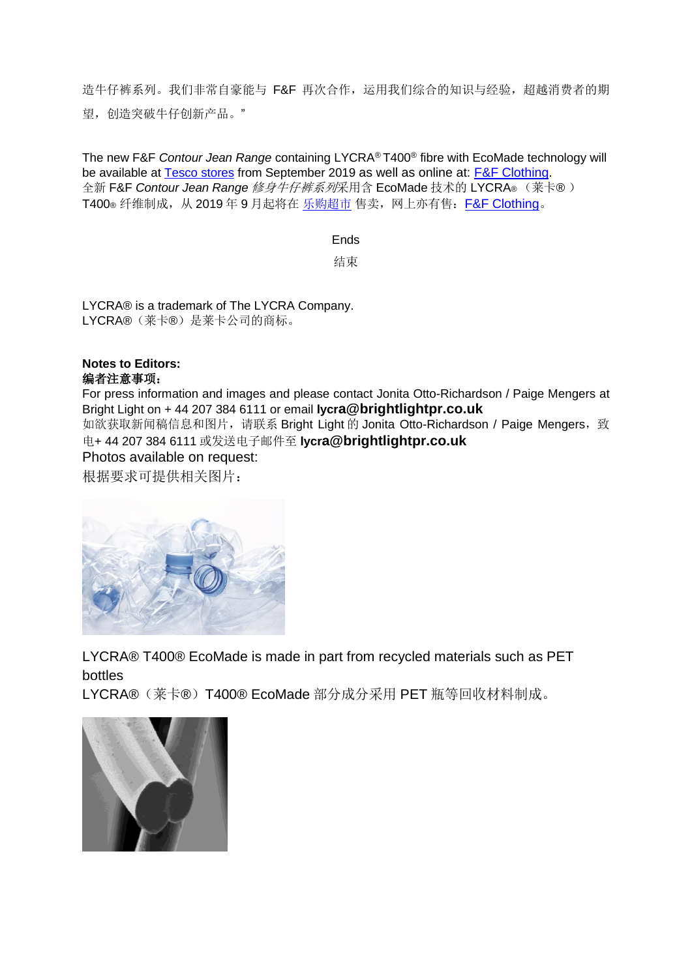造牛仔裤系列。我们非常自豪能与 F&F 再次合作,运用我们综合的知识与经验,超越消费者的期 望,创造突破牛仔创新产品。"

The new F&F *Contour Jean Range* containing LYCRA® T400® fibre with EcoMade technology will be available at [Tesco stores](https://www.tesco.com/zones/clothing/womens/denim) from September 2019 as well as online at: [F&F Clothing.](https://www3.next.co.uk/style/st478307#825414) 全新 F&F *Contour Jean Range* 修身牛仔裤系列采用含 EcoMade 技术的 LYCRA® (莱卡® ) T400® 纤维制成, 从 2019 年 9 月起将在 [乐购超市](https://www.tesco.com/zones/clothing/womens/denim) 售卖, 网上亦有售: [F&F Clothing](https://www3.next.co.uk/style/st478307#825414)。

Ends

结束

LYCRA® is a trademark of The LYCRA Company. LYCRA®(莱卡®)是莱卡公司的商标。

## **Notes to Editors:** 编者注意事项:

For press information and images and please contact Jonita Otto-Richardson / Paige Mengers at Bright Light on + 44 207 384 6111 or email **lycra@brightlightpr.co.uk** 如欲获取新闻稿信息和图片,请联系 Bright Light 的 Jonita Otto-Richardson / Paige Mengers,致 电+ 44 207 384 6111 或发送电子邮件至 **lycra@brightlightpr.co.uk**

## Photos available on request:

根据要求可提供相关图片:



LYCRA® T400® EcoMade is made in part from recycled materials such as PET bottles

LYCRA®(莱卡®)T400® EcoMade 部分成分采用 PET 瓶等回收材料制成。